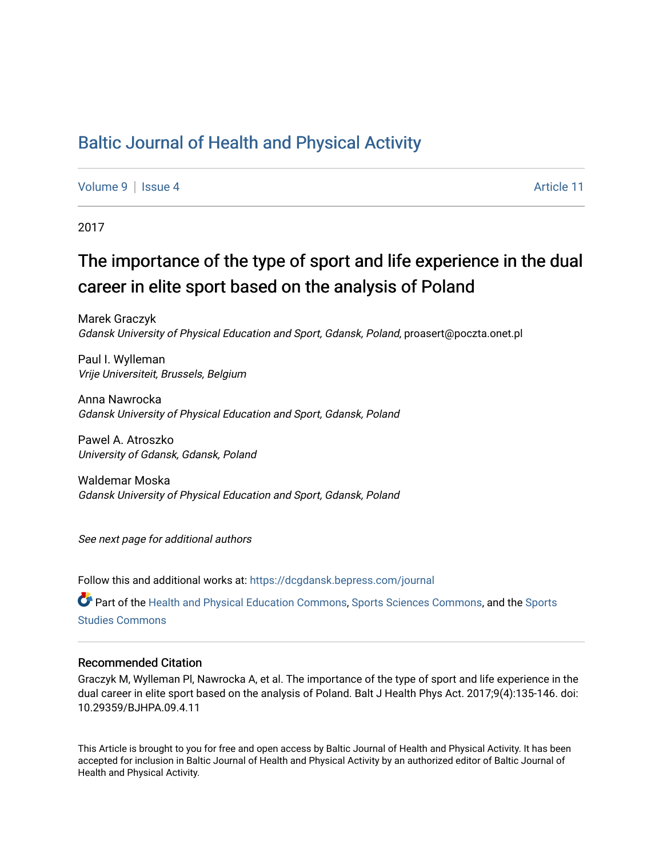## [Baltic Journal of Health and Physical Activity](https://dcgdansk.bepress.com/journal)

[Volume 9](https://dcgdansk.bepress.com/journal/vol9) | [Issue 4](https://dcgdansk.bepress.com/journal/vol9/iss4) Article 11

2017

# The importance of the type of sport and life experience in the dual career in elite sport based on the analysis of Poland

Marek Graczyk Gdansk University of Physical Education and Sport, Gdansk, Poland, proasert@poczta.onet.pl

Paul I. Wylleman Vrije Universiteit, Brussels, Belgium

Anna Nawrocka Gdansk University of Physical Education and Sport, Gdansk, Poland

Pawel A. Atroszko University of Gdansk, Gdansk, Poland

Waldemar Moska Gdansk University of Physical Education and Sport, Gdansk, Poland

See next page for additional authors

Follow this and additional works at: [https://dcgdansk.bepress.com/journal](https://dcgdansk.bepress.com/journal?utm_source=dcgdansk.bepress.com%2Fjournal%2Fvol9%2Fiss4%2F11&utm_medium=PDF&utm_campaign=PDFCoverPages)

Part of the [Health and Physical Education Commons](http://network.bepress.com/hgg/discipline/1327?utm_source=dcgdansk.bepress.com%2Fjournal%2Fvol9%2Fiss4%2F11&utm_medium=PDF&utm_campaign=PDFCoverPages), [Sports Sciences Commons](http://network.bepress.com/hgg/discipline/759?utm_source=dcgdansk.bepress.com%2Fjournal%2Fvol9%2Fiss4%2F11&utm_medium=PDF&utm_campaign=PDFCoverPages), and the [Sports](http://network.bepress.com/hgg/discipline/1198?utm_source=dcgdansk.bepress.com%2Fjournal%2Fvol9%2Fiss4%2F11&utm_medium=PDF&utm_campaign=PDFCoverPages)  [Studies Commons](http://network.bepress.com/hgg/discipline/1198?utm_source=dcgdansk.bepress.com%2Fjournal%2Fvol9%2Fiss4%2F11&utm_medium=PDF&utm_campaign=PDFCoverPages) 

#### Recommended Citation

Graczyk M, Wylleman Pl, Nawrocka A, et al. The importance of the type of sport and life experience in the dual career in elite sport based on the analysis of Poland. Balt J Health Phys Act. 2017;9(4):135-146. doi: 10.29359/BJHPA.09.4.11

This Article is brought to you for free and open access by Baltic Journal of Health and Physical Activity. It has been accepted for inclusion in Baltic Journal of Health and Physical Activity by an authorized editor of Baltic Journal of Health and Physical Activity.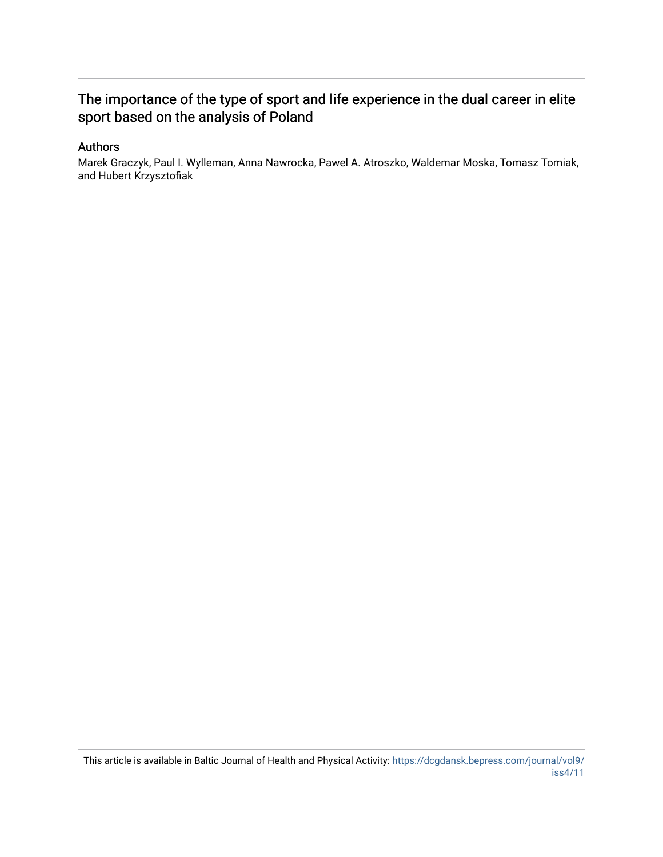## The importance of the type of sport and life experience in the dual career in elite sport based on the analysis of Poland

### Authors

Marek Graczyk, Paul I. Wylleman, Anna Nawrocka, Pawel A. Atroszko, Waldemar Moska, Tomasz Tomiak, and Hubert Krzysztofiak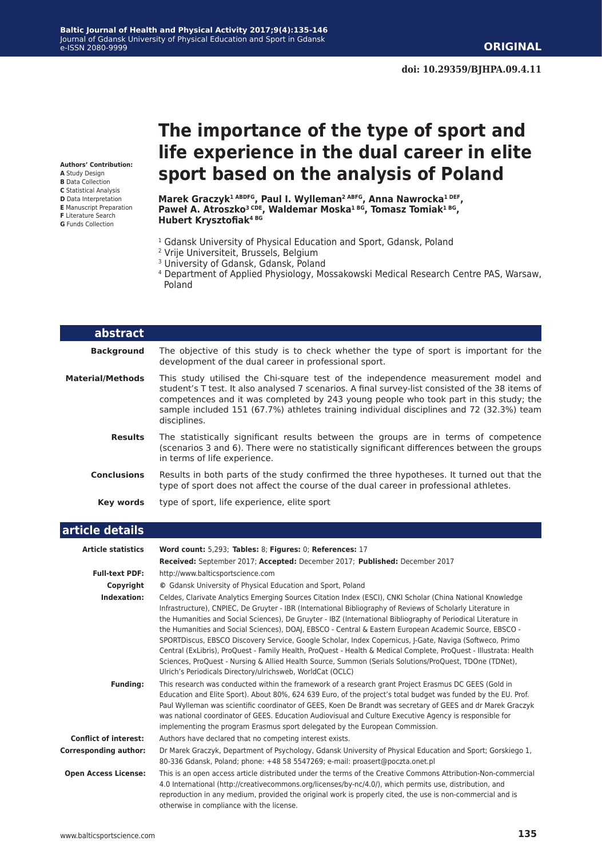**Authors' Contribution:**

- **A** Study Design
- **B** Data Collection **C** Statistical Analysis
- **D** Data Interpretation
- **E** Manuscript Preparation
- **F** Literature Search
- **G** Funds Collection

# **The importance of the type of sport and life experience in the dual career in elite sport based on the analysis of Poland**

**Marek Graczyk1 ABDFG, Paul I. Wylleman2 ABFG, Anna Nawrocka1 DEF, Paweł A. Atroszko3 CDE, Waldemar Moska1 BG, Tomasz Tomiak1 BG, Hubert Krysztofiak4 BG**

- <sup>1</sup> Gdansk University of Physical Education and Sport, Gdansk, Poland
- 2 Vrije Universiteit, Brussels, Belgium
- <sup>3</sup> University of Gdansk, Gdansk, Poland
- 4 Department of Applied Physiology, Mossakowski Medical Research Centre PAS, Warsaw, Poland

| <b>abstract</b>         |                                                                                                                                                                                                                                                                                                                                                                                            |
|-------------------------|--------------------------------------------------------------------------------------------------------------------------------------------------------------------------------------------------------------------------------------------------------------------------------------------------------------------------------------------------------------------------------------------|
| <b>Background</b>       | The objective of this study is to check whether the type of sport is important for the<br>development of the dual career in professional sport.                                                                                                                                                                                                                                            |
| <b>Material/Methods</b> | This study utilised the Chi-square test of the independence measurement model and<br>student's T test. It also analysed 7 scenarios. A final survey-list consisted of the 38 items of<br>competences and it was completed by 243 young people who took part in this study; the<br>sample included 151 (67.7%) athletes training individual disciplines and 72 (32.3%) team<br>disciplines. |
| <b>Results</b>          | The statistically significant results between the groups are in terms of competence<br>(scenarios 3 and 6). There were no statistically significant differences between the groups<br>in terms of life experience.                                                                                                                                                                         |
| <b>Conclusions</b>      | Results in both parts of the study confirmed the three hypotheses. It turned out that the<br>type of sport does not affect the course of the dual career in professional athletes.                                                                                                                                                                                                         |
| Key words               | type of sport, life experience, elite sport                                                                                                                                                                                                                                                                                                                                                |
| ---------------         |                                                                                                                                                                                                                                                                                                                                                                                            |

#### **article details**

| <b>Article statistics</b>    | Word count: 5,293; Tables: 8; Figures: 0; References: 17                                                                                                                                                                                                                                                                                                                                                                                                                                                                                                                                                                                                                                                                                                                                                                                                      |
|------------------------------|---------------------------------------------------------------------------------------------------------------------------------------------------------------------------------------------------------------------------------------------------------------------------------------------------------------------------------------------------------------------------------------------------------------------------------------------------------------------------------------------------------------------------------------------------------------------------------------------------------------------------------------------------------------------------------------------------------------------------------------------------------------------------------------------------------------------------------------------------------------|
|                              | Received: September 2017; Accepted: December 2017; Published: December 2017                                                                                                                                                                                                                                                                                                                                                                                                                                                                                                                                                                                                                                                                                                                                                                                   |
| <b>Full-text PDF:</b>        | http://www.balticsportscience.com                                                                                                                                                                                                                                                                                                                                                                                                                                                                                                                                                                                                                                                                                                                                                                                                                             |
| Copyright                    | © Gdansk University of Physical Education and Sport, Poland                                                                                                                                                                                                                                                                                                                                                                                                                                                                                                                                                                                                                                                                                                                                                                                                   |
| Indexation:                  | Celdes, Clarivate Analytics Emerging Sources Citation Index (ESCI), CNKI Scholar (China National Knowledge<br>Infrastructure), CNPIEC, De Gruyter - IBR (International Bibliography of Reviews of Scholarly Literature in<br>the Humanities and Social Sciences), De Gruyter - IBZ (International Bibliography of Periodical Literature in<br>the Humanities and Social Sciences), DOAJ, EBSCO - Central & Eastern European Academic Source, EBSCO -<br>SPORTDiscus, EBSCO Discovery Service, Google Scholar, Index Copernicus, J-Gate, Naviga (Softweco, Primo<br>Central (ExLibris), ProQuest - Family Health, ProQuest - Health & Medical Complete, ProQuest - Illustrata: Health<br>Sciences, ProQuest - Nursing & Allied Health Source, Summon (Serials Solutions/ProQuest, TDOne (TDNet),<br>Ulrich's Periodicals Directory/ulrichsweb, WorldCat (OCLC) |
| <b>Funding:</b>              | This research was conducted within the framework of a research grant Project Erasmus DC GEES (Gold in<br>Education and Elite Sport). About 80%, 624 639 Euro, of the project's total budget was funded by the EU. Prof.<br>Paul Wylleman was scientific coordinator of GEES, Koen De Brandt was secretary of GEES and dr Marek Graczyk<br>was national coordinator of GEES. Education Audiovisual and Culture Executive Agency is responsible for<br>implementing the program Erasmus sport delegated by the European Commission.                                                                                                                                                                                                                                                                                                                             |
| <b>Conflict of interest:</b> | Authors have declared that no competing interest exists.                                                                                                                                                                                                                                                                                                                                                                                                                                                                                                                                                                                                                                                                                                                                                                                                      |
| <b>Corresponding author:</b> | Dr Marek Graczyk, Department of Psychology, Gdansk University of Physical Education and Sport; Gorskiego 1,<br>80-336 Gdansk, Poland; phone: +48 58 5547269; e-mail: proasert@poczta.onet.pl                                                                                                                                                                                                                                                                                                                                                                                                                                                                                                                                                                                                                                                                  |
| <b>Open Access License:</b>  | This is an open access article distributed under the terms of the Creative Commons Attribution-Non-commercial<br>4.0 International (http://creativecommons.org/licenses/by-nc/4.0/), which permits use, distribution, and<br>reproduction in any medium, provided the original work is properly cited, the use is non-commercial and is<br>otherwise in compliance with the license.                                                                                                                                                                                                                                                                                                                                                                                                                                                                          |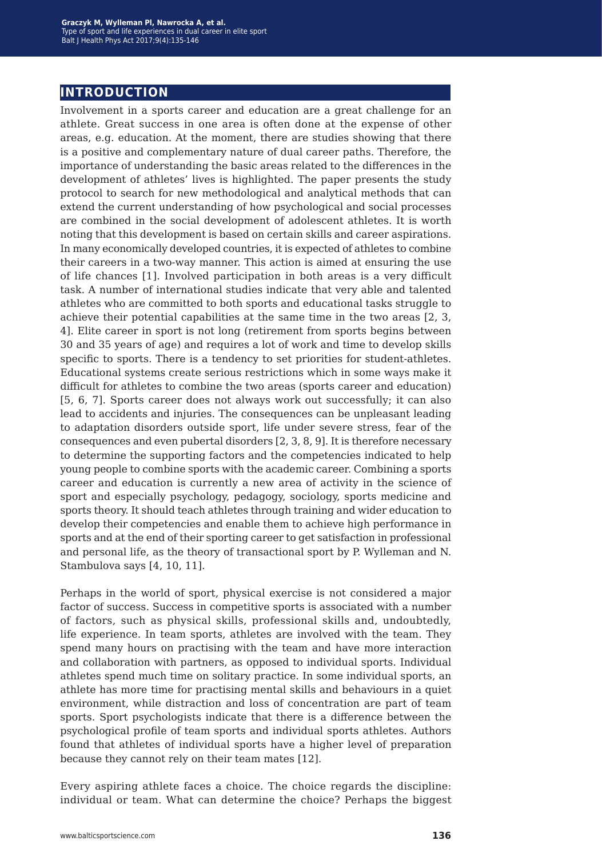## **introduction**

Involvement in a sports career and education are a great challenge for an athlete. Great success in one area is often done at the expense of other areas, e.g. education. At the moment, there are studies showing that there is a positive and complementary nature of dual career paths. Therefore, the importance of understanding the basic areas related to the differences in the development of athletes' lives is highlighted. The paper presents the study protocol to search for new methodological and analytical methods that can extend the current understanding of how psychological and social processes are combined in the social development of adolescent athletes. It is worth noting that this development is based on certain skills and career aspirations. In many economically developed countries, it is expected of athletes to combine their careers in a two-way manner. This action is aimed at ensuring the use of life chances [1]. Involved participation in both areas is a very difficult task. A number of international studies indicate that very able and talented athletes who are committed to both sports and educational tasks struggle to achieve their potential capabilities at the same time in the two areas [2, 3, 4]. Elite career in sport is not long (retirement from sports begins between 30 and 35 years of age) and requires a lot of work and time to develop skills specific to sports. There is a tendency to set priorities for student-athletes. Educational systems create serious restrictions which in some ways make it difficult for athletes to combine the two areas (sports career and education) [5, 6, 7]. Sports career does not always work out successfully; it can also lead to accidents and injuries. The consequences can be unpleasant leading to adaptation disorders outside sport, life under severe stress, fear of the consequences and even pubertal disorders [2, 3, 8, 9]. It is therefore necessary to determine the supporting factors and the competencies indicated to help young people to combine sports with the academic career. Combining a sports career and education is currently a new area of activity in the science of sport and especially psychology, pedagogy, sociology, sports medicine and sports theory. It should teach athletes through training and wider education to develop their competencies and enable them to achieve high performance in sports and at the end of their sporting career to get satisfaction in professional and personal life, as the theory of transactional sport by P. Wylleman and N. Stambulova says [4, 10, 11].

Perhaps in the world of sport, physical exercise is not considered a major factor of success. Success in competitive sports is associated with a number of factors, such as physical skills, professional skills and, undoubtedly, life experience. In team sports, athletes are involved with the team. They spend many hours on practising with the team and have more interaction and collaboration with partners, as opposed to individual sports. Individual athletes spend much time on solitary practice. In some individual sports, an athlete has more time for practising mental skills and behaviours in a quiet environment, while distraction and loss of concentration are part of team sports. Sport psychologists indicate that there is a difference between the psychological profile of team sports and individual sports athletes. Authors found that athletes of individual sports have a higher level of preparation because they cannot rely on their team mates [12].

Every aspiring athlete faces a choice. The choice regards the discipline: individual or team. What can determine the choice? Perhaps the biggest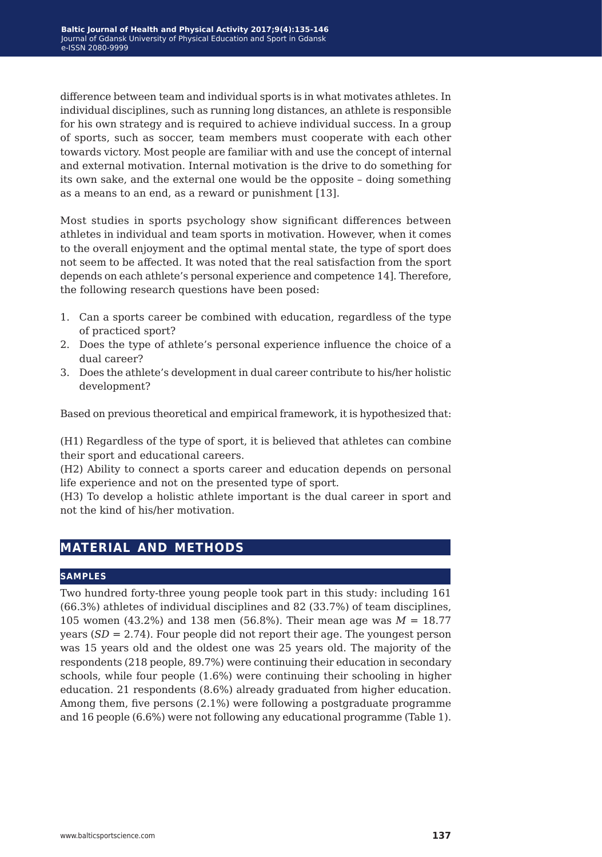difference between team and individual sports is in what motivates athletes. In individual disciplines, such as running long distances, an athlete is responsible for his own strategy and is required to achieve individual success. In a group of sports, such as soccer, team members must cooperate with each other towards victory. Most people are familiar with and use the concept of internal and external motivation. Internal motivation is the drive to do something for its own sake, and the external one would be the opposite – doing something as a means to an end, as a reward or punishment [13].

Most studies in sports psychology show significant differences between athletes in individual and team sports in motivation. However, when it comes to the overall enjoyment and the optimal mental state, the type of sport does not seem to be affected. It was noted that the real satisfaction from the sport depends on each athlete's personal experience and competence 14]. Therefore, the following research questions have been posed:

- 1. Can a sports career be combined with education, regardless of the type of practiced sport?
- 2. Does the type of athlete's personal experience influence the choice of a dual career?
- 3. Does the athlete's development in dual career contribute to his/her holistic development?

Based on previous theoretical and empirical framework, it is hypothesized that:

(H1) Regardless of the type of sport, it is believed that athletes can combine their sport and educational careers.

(H2) Ability to connect a sports career and education depends on personal life experience and not on the presented type of sport.

(H3) To develop a holistic athlete important is the dual career in sport and not the kind of his/her motivation.

## **material and methods**

#### **samples**

Two hundred forty-three young people took part in this study: including 161 (66.3%) athletes of individual disciplines and 82 (33.7%) of team disciplines, 105 women (43.2%) and 138 men (56.8%). Their mean age was *M* = 18.77 years  $(SD = 2.74)$ . Four people did not report their age. The youngest person was 15 years old and the oldest one was 25 years old. The majority of the respondents (218 people, 89.7%) were continuing their education in secondary schools, while four people (1.6%) were continuing their schooling in higher education. 21 respondents (8.6%) already graduated from higher education. Among them, five persons (2.1%) were following a postgraduate programme and 16 people (6.6%) were not following any educational programme (Table 1).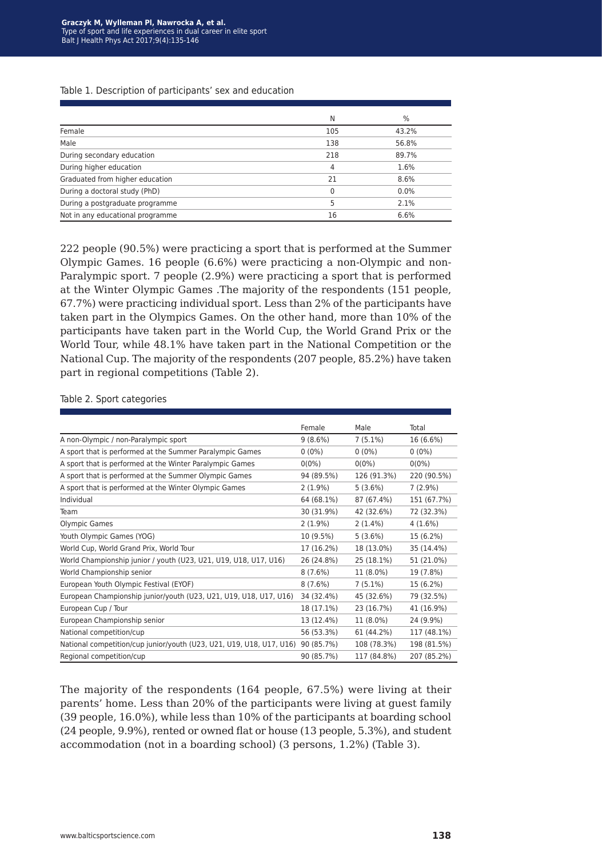#### Table 1. Description of participants' sex and education

|                                  | N            | $\%$    |
|----------------------------------|--------------|---------|
| Female                           | 105          | 43.2%   |
| Male                             | 138          | 56.8%   |
| During secondary education       | 218          | 89.7%   |
| During higher education          | 4            | 1.6%    |
| Graduated from higher education  | 21           | 8.6%    |
| During a doctoral study (PhD)    | <sup>0</sup> | $0.0\%$ |
| During a postgraduate programme  | 5            | 2.1%    |
| Not in any educational programme | 16           | 6.6%    |

222 people (90.5%) were practicing a sport that is performed at the Summer Olympic Games. 16 people (6.6%) were practicing a non-Olympic and non-Paralympic sport. 7 people (2.9%) were practicing a sport that is performed at the Winter Olympic Games .The majority of the respondents (151 people, 67.7%) were practicing individual sport. Less than 2% of the participants have taken part in the Olympics Games. On the other hand, more than 10% of the participants have taken part in the World Cup, the World Grand Prix or the World Tour, while 48.1% have taken part in the National Competition or the National Cup. The majority of the respondents (207 people, 85.2%) have taken part in regional competitions (Table 2).

|                                                                      | Female     | Male        | Total       |
|----------------------------------------------------------------------|------------|-------------|-------------|
| A non-Olympic / non-Paralympic sport                                 | $9(8.6\%)$ | $7(5.1\%)$  | 16 (6.6%)   |
| A sport that is performed at the Summer Paralympic Games             | $0(0\%)$   | $0(0\%)$    | $0(0\%)$    |
| A sport that is performed at the Winter Paralympic Games             | $0(0\%)$   | $0(0\%)$    | $0(0\%)$    |
| A sport that is performed at the Summer Olympic Games                | 94 (89.5%) | 126 (91.3%) | 220 (90.5%) |
| A sport that is performed at the Winter Olympic Games                | $2(1.9\%)$ | 5(3.6%)     | $7(2.9\%)$  |
| Individual                                                           | 64 (68.1%) | 87 (67.4%)  | 151 (67.7%) |
| Team                                                                 | 30 (31.9%) | 42 (32.6%)  | 72 (32.3%)  |
| Olympic Games                                                        | $2(1.9\%)$ | $2(1.4\%)$  | 4(1.6%)     |
| Youth Olympic Games (YOG)                                            | 10 (9.5%)  | 5(3.6%)     | 15 (6.2%)   |
| World Cup, World Grand Prix, World Tour                              | 17 (16.2%) | 18 (13.0%)  | 35 (14.4%)  |
| World Championship junior / youth (U23, U21, U19, U18, U17, U16)     | 26 (24.8%) | 25 (18.1%)  | 51 (21.0%)  |
| World Championship senior                                            | 8(7.6%)    | 11 (8.0%)   | 19 (7.8%)   |
| European Youth Olympic Festival (EYOF)                               | $8(7.6\%)$ | $7(5.1\%)$  | 15 (6.2%)   |
| European Championship junior/youth (U23, U21, U19, U18, U17, U16)    | 34 (32.4%) | 45 (32.6%)  | 79 (32.5%)  |
| European Cup / Tour                                                  | 18 (17.1%) | 23 (16.7%)  | 41 (16.9%)  |
| European Championship senior                                         | 13 (12.4%) | 11 (8.0%)   | 24 (9.9%)   |
| National competition/cup                                             | 56 (53.3%) | 61 (44.2%)  | 117 (48.1%) |
| National competition/cup junior/youth (U23, U21, U19, U18, U17, U16) | 90 (85.7%) | 108 (78.3%) | 198 (81.5%) |
| Regional competition/cup                                             | 90 (85.7%) | 117 (84.8%) | 207 (85.2%) |

#### Table 2. Sport categories

The majority of the respondents (164 people, 67.5%) were living at their parents' home. Less than 20% of the participants were living at guest family (39 people, 16.0%), while less than 10% of the participants at boarding school (24 people, 9.9%), rented or owned flat or house (13 people, 5.3%), and student accommodation (not in a boarding school) (3 persons, 1.2%) (Table 3).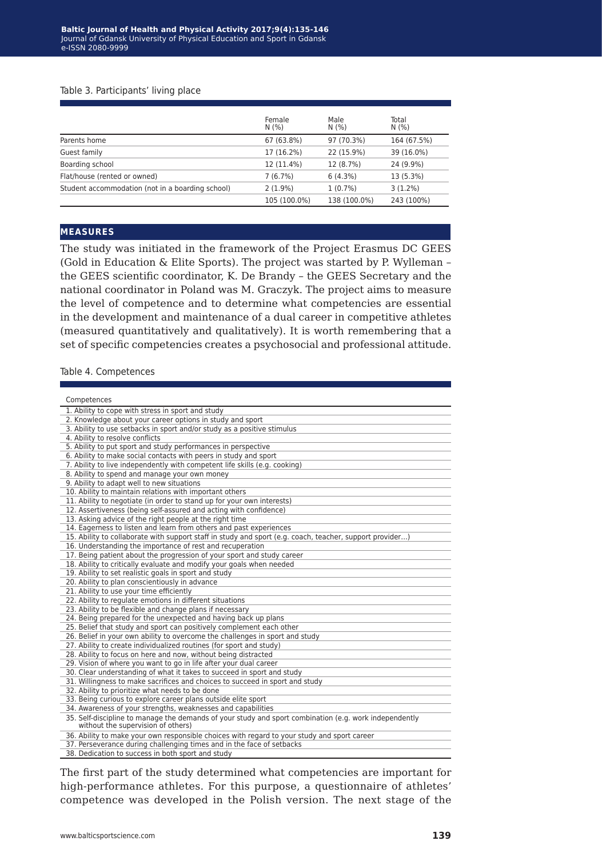#### Table 3. Participants' living place

|                                                  | Female<br>N(% ) | Male<br>N(% ) | Total<br>N(% ) |
|--------------------------------------------------|-----------------|---------------|----------------|
| Parents home                                     | 67 (63.8%)      | 97 (70.3%)    | 164 (67.5%)    |
| Guest family                                     | 17 (16.2%)      | 22 (15.9%)    | 39 (16.0%)     |
| Boarding school                                  | 12 (11.4%)      | 12 (8.7%)     | 24 (9.9%)      |
| Flat/house (rented or owned)                     | 7(6.7%)         | 6(4.3%)       | 13 (5.3%)      |
| Student accommodation (not in a boarding school) | $2(1.9\%)$      | $1(0.7\%)$    | $3(1.2\%)$     |
|                                                  | 105 (100.0%)    | 138 (100.0%)  | 243 (100%)     |

#### **measures**

The study was initiated in the framework of the Project Erasmus DC GEES (Gold in Education & Elite Sports). The project was started by P. Wylleman – the GEES scientific coordinator, K. De Brandy – the GEES Secretary and the national coordinator in Poland was M. Graczyk. The project aims to measure the level of competence and to determine what competencies are essential in the development and maintenance of a dual career in competitive athletes (measured quantitatively and qualitatively). It is worth remembering that a set of specific competencies creates a psychosocial and professional attitude.

#### Table 4. Competences

| Competences                                                                                                                                  |
|----------------------------------------------------------------------------------------------------------------------------------------------|
| 1. Ability to cope with stress in sport and study                                                                                            |
| 2. Knowledge about your career options in study and sport                                                                                    |
| 3. Ability to use setbacks in sport and/or study as a positive stimulus                                                                      |
| 4. Ability to resolve conflicts                                                                                                              |
| 5. Ability to put sport and study performances in perspective                                                                                |
| 6. Ability to make social contacts with peers in study and sport                                                                             |
| 7. Ability to live independently with competent life skills (e.g. cooking)                                                                   |
| 8. Ability to spend and manage your own money                                                                                                |
| 9. Ability to adapt well to new situations                                                                                                   |
| 10. Ability to maintain relations with important others                                                                                      |
| 11. Ability to negotiate (in order to stand up for your own interests)                                                                       |
| 12. Assertiveness (being self-assured and acting with confidence)                                                                            |
| 13. Asking advice of the right people at the right time                                                                                      |
| 14. Eagerness to listen and learn from others and past experiences                                                                           |
| 15. Ability to collaborate with support staff in study and sport (e.g. coach, teacher, support provider)                                     |
| 16. Understanding the importance of rest and recuperation                                                                                    |
| 17. Being patient about the progression of your sport and study career                                                                       |
| 18. Ability to critically evaluate and modify your goals when needed                                                                         |
| 19. Ability to set realistic goals in sport and study                                                                                        |
| 20. Ability to plan conscientiously in advance                                                                                               |
| 21. Ability to use your time efficiently                                                                                                     |
| 22. Ability to regulate emotions in different situations                                                                                     |
| 23. Ability to be flexible and change plans if necessary                                                                                     |
| 24. Being prepared for the unexpected and having back up plans                                                                               |
| 25. Belief that study and sport can positively complement each other                                                                         |
| 26. Belief in your own ability to overcome the challenges in sport and study                                                                 |
| 27. Ability to create individualized routines (for sport and study)                                                                          |
| 28. Ability to focus on here and now, without being distracted                                                                               |
| 29. Vision of where you want to go in life after your dual career                                                                            |
| 30. Clear understanding of what it takes to succeed in sport and study                                                                       |
| 31. Willingness to make sacrifices and choices to succeed in sport and study                                                                 |
| 32. Ability to prioritize what needs to be done                                                                                              |
| 33. Being curious to explore career plans outside elite sport                                                                                |
| 34. Awareness of your strengths, weaknesses and capabilities                                                                                 |
| 35. Self-discipline to manage the demands of your study and sport combination (e.g. work independently<br>without the supervision of others) |
| 36. Ability to make your own responsible choices with regard to your study and sport career                                                  |
| 37. Perseverance during challenging times and in the face of setbacks                                                                        |
| 38. Dedication to success in both sport and study                                                                                            |

The first part of the study determined what competencies are important for high-performance athletes. For this purpose, a questionnaire of athletes' competence was developed in the Polish version. The next stage of the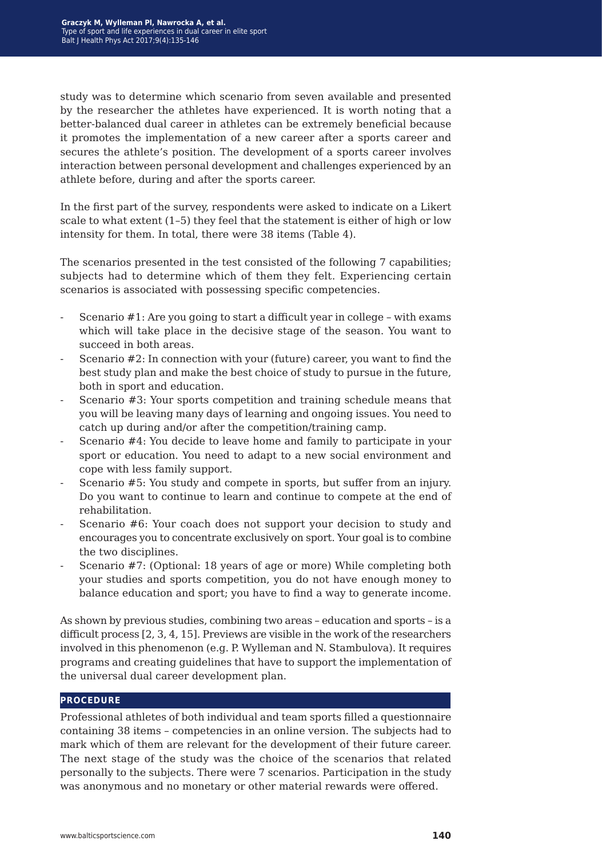study was to determine which scenario from seven available and presented by the researcher the athletes have experienced. It is worth noting that a better-balanced dual career in athletes can be extremely beneficial because it promotes the implementation of a new career after a sports career and secures the athlete's position. The development of a sports career involves interaction between personal development and challenges experienced by an athlete before, during and after the sports career.

In the first part of the survey, respondents were asked to indicate on a Likert scale to what extent (1–5) they feel that the statement is either of high or low intensity for them. In total, there were 38 items (Table 4).

The scenarios presented in the test consisted of the following 7 capabilities; subjects had to determine which of them they felt. Experiencing certain scenarios is associated with possessing specific competencies.

- Scenario #1: Are you going to start a difficult year in college with exams which will take place in the decisive stage of the season. You want to succeed in both areas.
- Scenario #2: In connection with your (future) career, you want to find the best study plan and make the best choice of study to pursue in the future, both in sport and education.
- Scenario #3: Your sports competition and training schedule means that you will be leaving many days of learning and ongoing issues. You need to catch up during and/or after the competition/training camp.
- Scenario #4: You decide to leave home and family to participate in your sport or education. You need to adapt to a new social environment and cope with less family support.
- Scenario #5: You study and compete in sports, but suffer from an injury. Do you want to continue to learn and continue to compete at the end of rehabilitation.
- Scenario #6: Your coach does not support your decision to study and encourages you to concentrate exclusively on sport. Your goal is to combine the two disciplines.
- Scenario #7: (Optional: 18 years of age or more) While completing both your studies and sports competition, you do not have enough money to balance education and sport; you have to find a way to generate income.

As shown by previous studies, combining two areas – education and sports – is a difficult process [2, 3, 4, 15]. Previews are visible in the work of the researchers involved in this phenomenon (e.g. P. Wylleman and N. Stambulova). It requires programs and creating guidelines that have to support the implementation of the universal dual career development plan.

#### **procedure**

Professional athletes of both individual and team sports filled a questionnaire containing 38 items – competencies in an online version. The subjects had to mark which of them are relevant for the development of their future career. The next stage of the study was the choice of the scenarios that related personally to the subjects. There were 7 scenarios. Participation in the study was anonymous and no monetary or other material rewards were offered.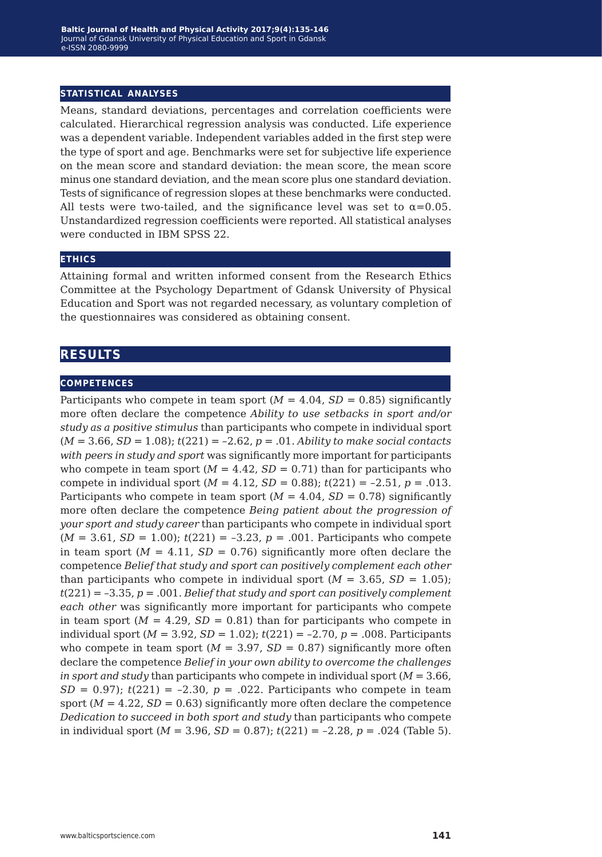#### **statistical analyses**

Means, standard deviations, percentages and correlation coefficients were calculated. Hierarchical regression analysis was conducted. Life experience was a dependent variable. Independent variables added in the first step were the type of sport and age. Benchmarks were set for subjective life experience on the mean score and standard deviation: the mean score, the mean score minus one standard deviation, and the mean score plus one standard deviation. Tests of significance of regression slopes at these benchmarks were conducted. All tests were two-tailed, and the significance level was set to  $\alpha = 0.05$ . Unstandardized regression coefficients were reported. All statistical analyses were conducted in IBM SPSS 22.

#### **ethics**

Attaining formal and written informed consent from the Research Ethics Committee at the Psychology Department of Gdansk University of Physical Education and Sport was not regarded necessary, as voluntary completion of the questionnaires was considered as obtaining consent.

### **results**

#### **competences**

Participants who compete in team sport  $(M = 4.04, SD = 0.85)$  significantly more often declare the competence *Ability to use setbacks in sport and/or study as a positive stimulus* than participants who compete in individual sport (*M* = 3.66, *SD* = 1.08); *t*(221) = –2.62, *p* = .01. *Ability to make social contacts with peers in study and sport* was significantly more important for participants who compete in team sport  $(M = 4.42, SD = 0.71)$  than for participants who compete in individual sport  $(M = 4.12, SD = 0.88)$ ;  $t(221) = -2.51$ ,  $p = .013$ . Participants who compete in team sport  $(M = 4.04, SD = 0.78)$  significantly more often declare the competence *Being patient about the progression of your sport and study career* than participants who compete in individual sport  $(M = 3.61, SD = 1.00)$ ;  $t(221) = -3.23$ ,  $p = .001$ . Participants who compete in team sport  $(M = 4.11, SD = 0.76)$  significantly more often declare the competence *Belief that study and sport can positively complement each other*  than participants who compete in individual sport  $(M = 3.65, SD = 1.05)$ ; *t*(221) = –3.35, *p* = .001. *Belief that study and sport can positively complement each other* was significantly more important for participants who compete in team sport  $(M = 4.29, SD = 0.81)$  than for participants who compete in individual sport  $(M = 3.92, SD = 1.02)$ ;  $t(221) = -2.70, p = .008$ . Participants who compete in team sport  $(M = 3.97, SD = 0.87)$  significantly more often declare the competence *Belief in your own ability to overcome the challenges in sport and study* than participants who compete in individual sport (*M* = 3.66, *SD* = 0.97);  $t(221) = -2.30$ ,  $p = .022$ . Participants who compete in team sport  $(M = 4.22, SD = 0.63)$  significantly more often declare the competence *Dedication to succeed in both sport and study* than participants who compete in individual sport ( $M = 3.96$ ,  $SD = 0.87$ );  $t(221) = -2.28$ ,  $p = .024$  (Table 5).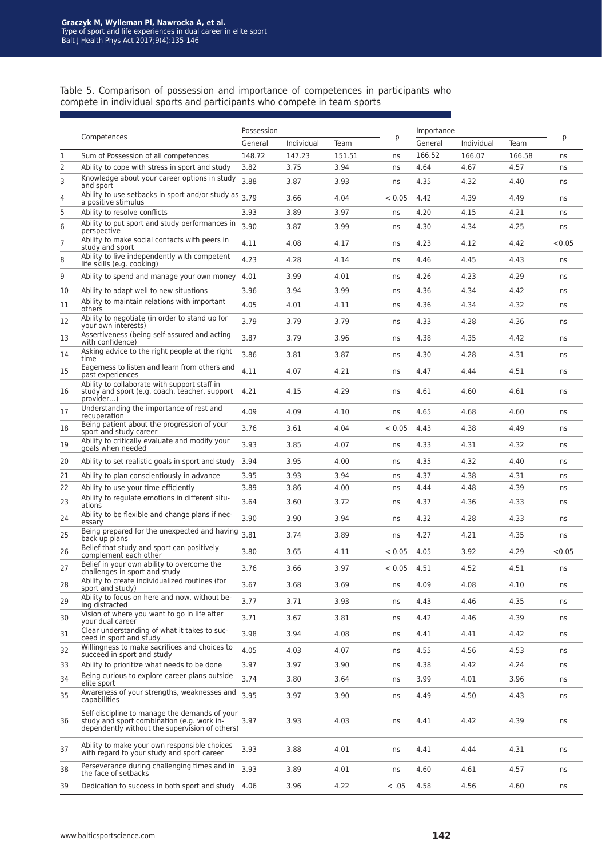Table 5. Comparison of possession and importance of competences in participants who compete in individual sports and participants who compete in team sports

|    |                                                                                                                                               | Possession |            |        | Importance |         |            |        |        |
|----|-----------------------------------------------------------------------------------------------------------------------------------------------|------------|------------|--------|------------|---------|------------|--------|--------|
|    | Competences                                                                                                                                   | General    | Individual | Team   | p          | General | Individual | Team   | р      |
| 1  | Sum of Possession of all competences                                                                                                          | 148.72     | 147.23     | 151.51 | ns         | 166.52  | 166.07     | 166.58 | ns     |
| 2  | Ability to cope with stress in sport and study                                                                                                | 3.82       | 3.75       | 3.94   | ns         | 4.64    | 4.67       | 4.57   | ns     |
| 3  | Knowledge about your career options in study<br>and sport                                                                                     | 3.88       | 3.87       | 3.93   | ns         | 4.35    | 4.32       | 4.40   | ns     |
| 4  | Ability to use setbacks in sport and/or study as<br>a positive stimulus                                                                       | 3.79       | 3.66       | 4.04   | < 0.05     | 4.42    | 4.39       | 4.49   | ns     |
| 5  | Ability to resolve conflicts                                                                                                                  | 3.93       | 3.89       | 3.97   | ns         | 4.20    | 4.15       | 4.21   | ns     |
| 6  | Ability to put sport and study performances in<br>perspective                                                                                 | 3.90       | 3.87       | 3.99   | ns         | 4.30    | 4.34       | 4.25   | ns     |
| 7  | Ability to make social contacts with peers in<br>study and sport                                                                              | 4.11       | 4.08       | 4.17   | ns         | 4.23    | 4.12       | 4.42   | < 0.05 |
| 8  | Ability to live independently with competent<br>life skills (e.g. cooking)                                                                    | 4.23       | 4.28       | 4.14   | ns         | 4.46    | 4.45       | 4.43   | ns     |
| 9  | Ability to spend and manage your own money                                                                                                    | 4.01       | 3.99       | 4.01   | ns         | 4.26    | 4.23       | 4.29   | ns     |
| 10 | Ability to adapt well to new situations                                                                                                       | 3.96       | 3.94       | 3.99   | ns         | 4.36    | 4.34       | 4.42   | ns     |
| 11 | Ability to maintain relations with important<br>others                                                                                        | 4.05       | 4.01       | 4.11   | ns         | 4.36    | 4.34       | 4.32   | ns     |
| 12 | Ability to negotiate (in order to stand up for<br>vour own interests)                                                                         | 3.79       | 3.79       | 3.79   | ns         | 4.33    | 4.28       | 4.36   | ns     |
| 13 | Assertiveness (being self-assured and acting<br>with confidence)                                                                              | 3.87       | 3.79       | 3.96   | ns         | 4.38    | 4.35       | 4.42   | ns     |
| 14 | Asking advice to the right people at the right<br>time                                                                                        | 3.86       | 3.81       | 3.87   | ns         | 4.30    | 4.28       | 4.31   | ns     |
| 15 | Eagerness to listen and learn from others and<br>past experiences                                                                             | 4.11       | 4.07       | 4.21   | ns         | 4.47    | 4.44       | 4.51   | ns     |
| 16 | Ability to collaborate with support staff in<br>study and sport (e.g. coach, teacher, support<br>provider)                                    | 4.21       | 4.15       | 4.29   | ns         | 4.61    | 4.60       | 4.61   | ns     |
| 17 | Understanding the importance of rest and<br>recuperation                                                                                      | 4.09       | 4.09       | 4.10   | ns         | 4.65    | 4.68       | 4.60   | ns     |
| 18 | Being patient about the progression of your<br>sport and study career                                                                         | 3.76       | 3.61       | 4.04   | < 0.05     | 4.43    | 4.38       | 4.49   | ns     |
| 19 | Ability to critically evaluate and modify your<br>goals when needed                                                                           | 3.93       | 3.85       | 4.07   | ns         | 4.33    | 4.31       | 4.32   | ns     |
| 20 | Ability to set realistic goals in sport and study                                                                                             | 3.94       | 3.95       | 4.00   | ns         | 4.35    | 4.32       | 4.40   | ns     |
| 21 | Ability to plan conscientiously in advance                                                                                                    | 3.95       | 3.93       | 3.94   | ns         | 4.37    | 4.38       | 4.31   | ns     |
| 22 | Ability to use your time efficiently                                                                                                          | 3.89       | 3.86       | 4.00   | ns         | 4.44    | 4.48       | 4.39   | ns     |
| 23 | Ability to regulate emotions in different situ-<br>ations                                                                                     | 3.64       | 3.60       | 3.72   | ns         | 4.37    | 4.36       | 4.33   | ns     |
| 24 | Ability to be flexible and change plans if nec-<br>essary                                                                                     | 3.90       | 3.90       | 3.94   | ns         | 4.32    | 4.28       | 4.33   | ns     |
| 25 | Being prepared for the unexpected and having<br>back up plans                                                                                 | 3.81       | 3.74       | 3.89   | ns         | 4.27    | 4.21       | 4.35   | ns     |
| 26 | Belief that study and sport can positively<br>complement each other                                                                           | 3.80       | 3.65       | 4.11   | < 0.05     | 4.05    | 3.92       | 4.29   | < 0.05 |
| 27 | Belief in your own ability to overcome the<br>challenges in sport and study                                                                   | 3.76       | 3.66       | 3.97   | < 0.05     | 4.51    | 4.52       | 4.51   | ns     |
| 28 | Ability to create individualized routines (for<br>sport and study)                                                                            | 3.67       | 3.68       | 3.69   | ns         | 4.09    | 4.08       | 4.10   | ns     |
| 29 | Ability to focus on here and now, without be-<br>ing distracted                                                                               | 3.77       | 3.71       | 3.93   | ns         | 4.43    | 4.46       | 4.35   | ns     |
| 30 | Vision of where you want to go in life after<br>your dual career                                                                              | 3.71       | 3.67       | 3.81   | ns         | 4.42    | 4.46       | 4.39   | ns     |
| 31 | Clear understanding of what it takes to suc-<br>ceed in sport and study                                                                       | 3.98       | 3.94       | 4.08   | ns         | 4.41    | 4.41       | 4.42   | ns     |
| 32 | Willingness to make sacrifices and choices to<br>succeed in sport and study                                                                   | 4.05       | 4.03       | 4.07   | ns         | 4.55    | 4.56       | 4.53   | ns     |
| 33 | Ability to prioritize what needs to be done                                                                                                   | 3.97       | 3.97       | 3.90   | ns         | 4.38    | 4.42       | 4.24   | ns     |
| 34 | Being curious to explore career plans outside<br>elite sport                                                                                  | 3.74       | 3.80       | 3.64   | ns         | 3.99    | 4.01       | 3.96   | ns     |
| 35 | Awareness of your strengths, weaknesses and<br>capabilities                                                                                   | 3.95       | 3.97       | 3.90   | ns         | 4.49    | 4.50       | 4.43   | ns     |
| 36 | Self-discipline to manage the demands of your<br>study and sport combination (e.g. work in-<br>dependently without the supervision of others) | 3.97       | 3.93       | 4.03   | ns         | 4.41    | 4.42       | 4.39   | ns     |
| 37 | Ability to make your own responsible choices<br>with regard to your study and sport career                                                    | 3.93       | 3.88       | 4.01   | ns         | 4.41    | 4.44       | 4.31   | ns     |
| 38 | Perseverance during challenging times and in<br>the face of setbacks                                                                          | 3.93       | 3.89       | 4.01   | ns         | 4.60    | 4.61       | 4.57   | ns     |
| 39 | Dedication to success in both sport and study 4.06                                                                                            |            | 3.96       | 4.22   | < .05      | 4.58    | 4.56       | 4.60   | ns     |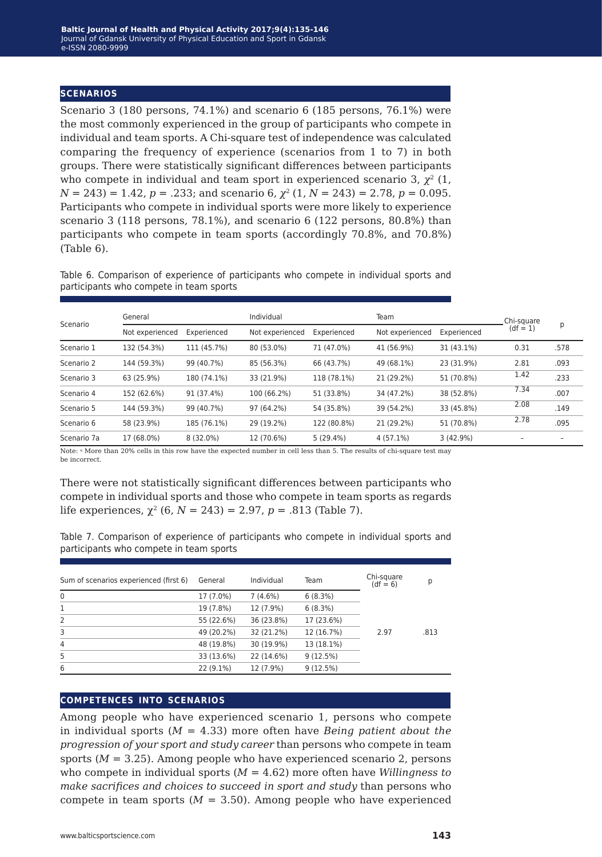#### **scenarios**

Scenario 3 (180 persons, 74.1%) and scenario 6 (185 persons, 76.1%) were the most commonly experienced in the group of participants who compete in individual and team sports. A Chi-square test of independence was calculated comparing the frequency of experience (scenarios from 1 to 7) in both groups. There were statistically significant differences between participants who compete in individual and team sport in experienced scenario 3,  $\chi^2$  (1, *N =* 243) = 1.42, *p =* .233; and scenario 6, *χ*2 (1, *N* = 243) = 2.78, *p* = 0.095. Participants who compete in individual sports were more likely to experience scenario 3 (118 persons, 78.1%), and scenario 6 (122 persons, 80.8%) than participants who compete in team sports (accordingly 70.8%, and 70.8%) (Table 6).

Table 6. Comparison of experience of participants who compete in individual sports and participants who compete in team sports

| Scenario    | General         |             | Individual      |             | Team            |             | Chi-square |      |
|-------------|-----------------|-------------|-----------------|-------------|-----------------|-------------|------------|------|
|             | Not experienced | Experienced | Not experienced | Experienced | Not experienced | Experienced | $(df = 1)$ | р    |
| Scenario 1  | 132 (54.3%)     | 111 (45.7%) | 80 (53.0%)      | 71 (47.0%)  | 41 (56.9%)      | 31 (43.1%)  | 0.31       | .578 |
| Scenario 2  | 144 (59.3%)     | 99 (40.7%)  | 85 (56.3%)      | 66 (43.7%)  | 49 (68.1%)      | 23 (31.9%)  | 2.81       | .093 |
| Scenario 3  | 63 (25.9%)      | 180 (74.1%) | 33 (21.9%)      | 118 (78.1%) | 21 (29.2%)      | 51 (70.8%)  | 1.42       | .233 |
| Scenario 4  | 152 (62.6%)     | 91 (37.4%)  | 100 (66.2%)     | 51 (33.8%)  | 34 (47.2%)      | 38 (52.8%)  | 7.34       | .007 |
| Scenario 5  | 144 (59.3%)     | 99 (40.7%)  | 97 (64.2%)      | 54 (35.8%)  | 39 (54.2%)      | 33 (45.8%)  | 2.08       | .149 |
| Scenario 6  | 58 (23.9%)      | 185 (76.1%) | 29 (19.2%)      | 122 (80.8%) | 21 (29.2%)      | 51 (70.8%)  | 2.78       | .095 |
| Scenario 7a | 17 (68.0%)      | 8 (32.0%)   | 12 (70.6%)      | 5(29.4%)    | $4(57.1\%)$     | 3(42.9%)    |            |      |

Note: a More than 20% cells in this row have the expected number in cell less than 5. The results of chi-square test may be incorrect.

There were not statistically significant differences between participants who compete in individual sports and those who compete in team sports as regards life experiences,  $\chi^2$  (6,  $N = 243$ ) = 2.97,  $p = .813$  (Table 7).

Table 7. Comparison of experience of participants who compete in individual sports and participants who compete in team sports

| Sum of scenarios experienced (first 6) | General    | Individual | Team       | Chi-square<br>$(df = 6)$ | р    |
|----------------------------------------|------------|------------|------------|--------------------------|------|
| 0                                      | 17 (7.0%)  | 7(4.6%)    | 6(8.3%)    |                          |      |
| 1                                      | 19 (7.8%)  | 12 (7.9%)  | 6(8.3%)    |                          |      |
| 2                                      | 55 (22.6%) | 36 (23.8%) | 17 (23.6%) |                          |      |
| 3                                      | 49 (20.2%) | 32 (21.2%) | 12 (16.7%) | 2.97                     | .813 |
| $\overline{4}$                         | 48 (19.8%) | 30 (19.9%) | 13 (18.1%) |                          |      |
| 5                                      | 33 (13.6%) | 22 (14.6%) | 9(12.5%)   |                          |      |
| 6                                      | 22 (9.1%)  | 12 (7.9%)  | 9(12.5%)   |                          |      |

#### **competences into scenarios**

Among people who have experienced scenario 1, persons who compete in individual sports (*M* = 4.33) more often have *Being patient about the progression of your sport and study career* than persons who compete in team sports (*M* = 3.25). Among people who have experienced scenario 2, persons who compete in individual sports (*M* = 4.62) more often have *Willingness to make sacrifices and choices to succeed in sport and study* than persons who compete in team sports ( $M = 3.50$ ). Among people who have experienced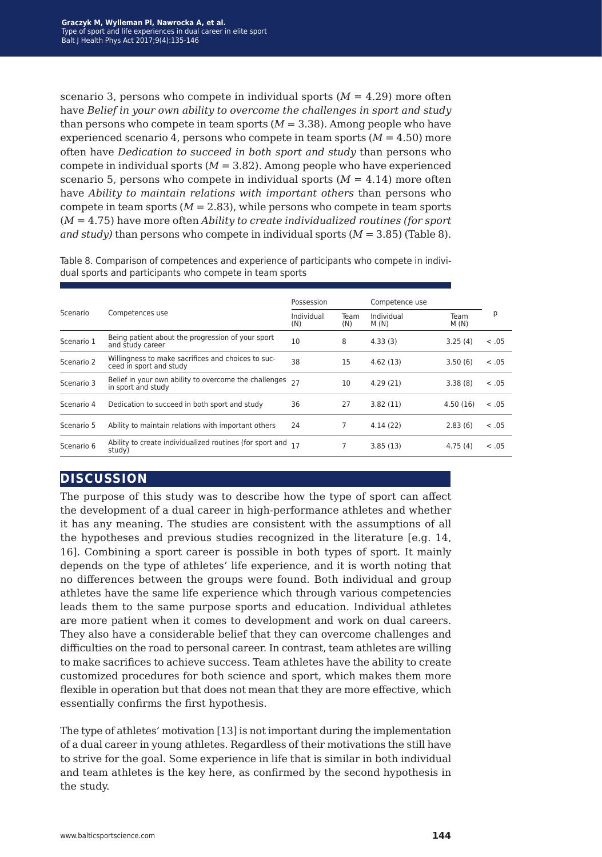scenario 3, persons who compete in individual sports (*M* = 4.29) more often have *Belief in your own ability to overcome the challenges in sport and study* than persons who compete in team sports  $(M = 3.38)$ . Among people who have experienced scenario 4, persons who compete in team sports  $(M = 4.50)$  more often have *Dedication to succeed in both sport and study* than persons who compete in individual sports  $(M = 3.82)$ . Among people who have experienced scenario 5, persons who compete in individual sports  $(M = 4.14)$  more often have *Ability to maintain relations with important others* than persons who compete in team sports  $(M = 2.83)$ , while persons who compete in team sports (*M* = 4.75) have more often *Ability to create individualized routines (for sport and study*) than persons who compete in individual sports  $(M = 3.85)$  (Table 8).

Table 8. Comparison of competences and experience of participants who compete in individual sports and participants who compete in team sports

|            |                                                                                | Possession        |             | Competence use     |              |        |
|------------|--------------------------------------------------------------------------------|-------------------|-------------|--------------------|--------------|--------|
| Scenario   | Competences use                                                                | Individual<br>(N) | Team<br>(N) | Individual<br>M(N) | Team<br>M(N) | р      |
| Scenario 1 | Being patient about the progression of your sport<br>and study career          | 10                | 8           | 4.33(3)            | 3.25(4)      | < 0.05 |
| Scenario 2 | Willingness to make sacrifices and choices to suc-<br>ceed in sport and study  | 38                | 15          | 4.62(13)           | 3.50(6)      | < .05  |
| Scenario 3 | Belief in your own ability to overcome the challenges 27<br>in sport and study |                   | 10          | 4.29(21)           | 3.38(8)      | < 0.05 |
| Scenario 4 | Dedication to succeed in both sport and study                                  | 36                | 27          | 3.82(11)           | 4.50(16)     | < 0.05 |
| Scenario 5 | Ability to maintain relations with important others                            | 24                |             | 4.14(22)           | 2.83(6)      | < 0.05 |
| Scenario 6 | Ability to create individualized routines (for sport and 17<br>study)          |                   |             | 3.85(13)           | 4.75(4)      | < 0.05 |

## **discussion**

The purpose of this study was to describe how the type of sport can affect the development of a dual career in high-performance athletes and whether it has any meaning. The studies are consistent with the assumptions of all the hypotheses and previous studies recognized in the literature [e.g. 14, 16]. Combining a sport career is possible in both types of sport. It mainly depends on the type of athletes' life experience, and it is worth noting that no differences between the groups were found. Both individual and group athletes have the same life experience which through various competencies leads them to the same purpose sports and education. Individual athletes are more patient when it comes to development and work on dual careers. They also have a considerable belief that they can overcome challenges and difficulties on the road to personal career. In contrast, team athletes are willing to make sacrifices to achieve success. Team athletes have the ability to create customized procedures for both science and sport, which makes them more flexible in operation but that does not mean that they are more effective, which essentially confirms the first hypothesis.

The type of athletes' motivation [13] is not important during the implementation of a dual career in young athletes. Regardless of their motivations the still have to strive for the goal. Some experience in life that is similar in both individual and team athletes is the key here, as confirmed by the second hypothesis in the study.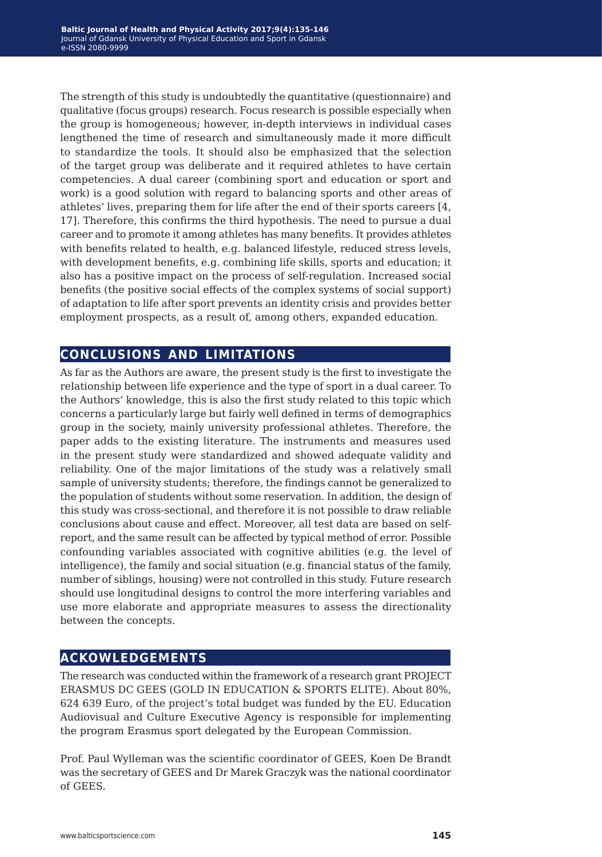The strength of this study is undoubtedly the quantitative (questionnaire) and qualitative (focus groups) research. Focus research is possible especially when the group is homogeneous; however, in-depth interviews in individual cases lengthened the time of research and simultaneously made it more difficult to standardize the tools. It should also be emphasized that the selection of the target group was deliberate and it required athletes to have certain competencies. A dual career (combining sport and education or sport and work) is a good solution with regard to balancing sports and other areas of athletes' lives, preparing them for life after the end of their sports careers [4, 17]. Therefore, this confirms the third hypothesis. The need to pursue a dual career and to promote it among athletes has many benefits. It provides athletes with benefits related to health, e.g. balanced lifestyle, reduced stress levels, with development benefits, e.g. combining life skills, sports and education; it also has a positive impact on the process of self-regulation. Increased social benefits (the positive social effects of the complex systems of social support) of adaptation to life after sport prevents an identity crisis and provides better employment prospects, as a result of, among others, expanded education.

## **conclusions and limitations**

As far as the Authors are aware, the present study is the first to investigate the relationship between life experience and the type of sport in a dual career. To the Authors' knowledge, this is also the first study related to this topic which concerns a particularly large but fairly well defined in terms of demographics group in the society, mainly university professional athletes. Therefore, the paper adds to the existing literature. The instruments and measures used in the present study were standardized and showed adequate validity and reliability. One of the major limitations of the study was a relatively small sample of university students; therefore, the findings cannot be generalized to the population of students without some reservation. In addition, the design of this study was cross-sectional, and therefore it is not possible to draw reliable conclusions about cause and effect. Moreover, all test data are based on selfreport, and the same result can be affected by typical method of error. Possible confounding variables associated with cognitive abilities (e.g. the level of intelligence), the family and social situation (e.g. financial status of the family, number of siblings, housing) were not controlled in this study. Future research should use longitudinal designs to control the more interfering variables and use more elaborate and appropriate measures to assess the directionality between the concepts.

## **ackowledgements**

The research was conducted within the framework of a research grant PROJECT ERASMUS DC GEES (GOLD IN EDUCATION & SPORTS ELITE). About 80%, 624 639 Euro, of the project's total budget was funded by the EU. Education Audiovisual and Culture Executive Agency is responsible for implementing the program Erasmus sport delegated by the European Commission.

Prof. Paul Wylleman was the scientific coordinator of GEES, Koen De Brandt was the secretary of GEES and Dr Marek Graczyk was the national coordinator of GEES.